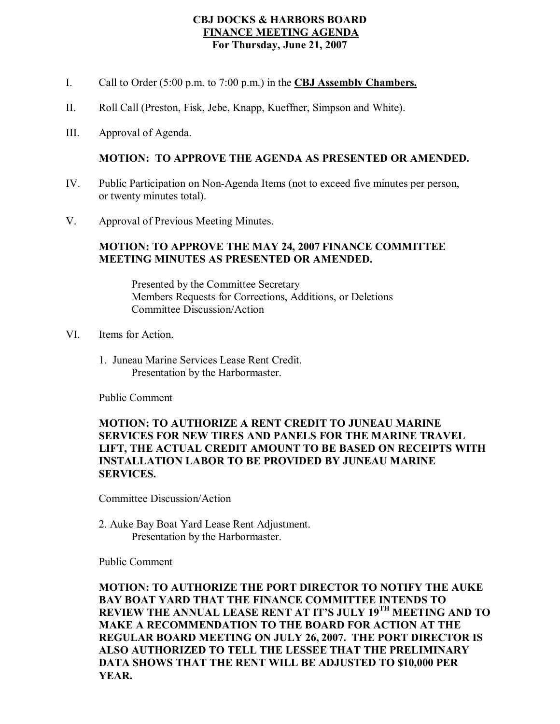# **CBJ DOCKS & HARBORS BOARD FINANCE MEETING AGENDA For Thursday, June 21, 2007**

- I. Call to Order (5:00 p.m. to 7:00 p.m.) in the **CBJ Assembly Chambers.**
- II. Roll Call (Preston, Fisk, Jebe, Knapp, Kueffner, Simpson and White).
- III. Approval of Agenda.

## **MOTION: TO APPROVE THE AGENDA AS PRESENTED OR AMENDED.**

- IV. Public Participation on Non-Agenda Items (not to exceed five minutes per person, or twenty minutes total).
- V. Approval of Previous Meeting Minutes.

## **MOTION: TO APPROVE THE MAY 24, 2007 FINANCE COMMITTEE MEETING MINUTES AS PRESENTED OR AMENDED.**

Presented by the Committee Secretary Members Requests for Corrections, Additions, or Deletions Committee Discussion/Action

- VI. Items for Action.
	- 1. Juneau Marine Services Lease Rent Credit. Presentation by the Harbormaster.

Public Comment

# **MOTION: TO AUTHORIZE A RENT CREDIT TO JUNEAU MARINE SERVICES FOR NEW TIRES AND PANELS FOR THE MARINE TRAVEL LIFT, THE ACTUAL CREDIT AMOUNT TO BE BASED ON RECEIPTS WITH INSTALLATION LABOR TO BE PROVIDED BY JUNEAU MARINE SERVICES.**

Committee Discussion/Action

2. Auke Bay Boat Yard Lease Rent Adjustment. Presentation by the Harbormaster.

Public Comment

**MOTION: TO AUTHORIZE THE PORT DIRECTOR TO NOTIFY THE AUKE BAY BOAT YARD THAT THE FINANCE COMMITTEE INTENDS TO REVIEW THE ANNUAL LEASE RENT AT IT'S JULY 19 TH MEETING AND TO MAKE A RECOMMENDATION TO THE BOARD FOR ACTION AT THE REGULAR BOARD MEETING ON JULY 26, 2007. THE PORT DIRECTOR IS ALSO AUTHORIZED TO TELL THE LESSEE THAT THE PRELIMINARY DATA SHOWS THAT THE RENT WILL BE ADJUSTED TO \$10,000 PER YEAR.**